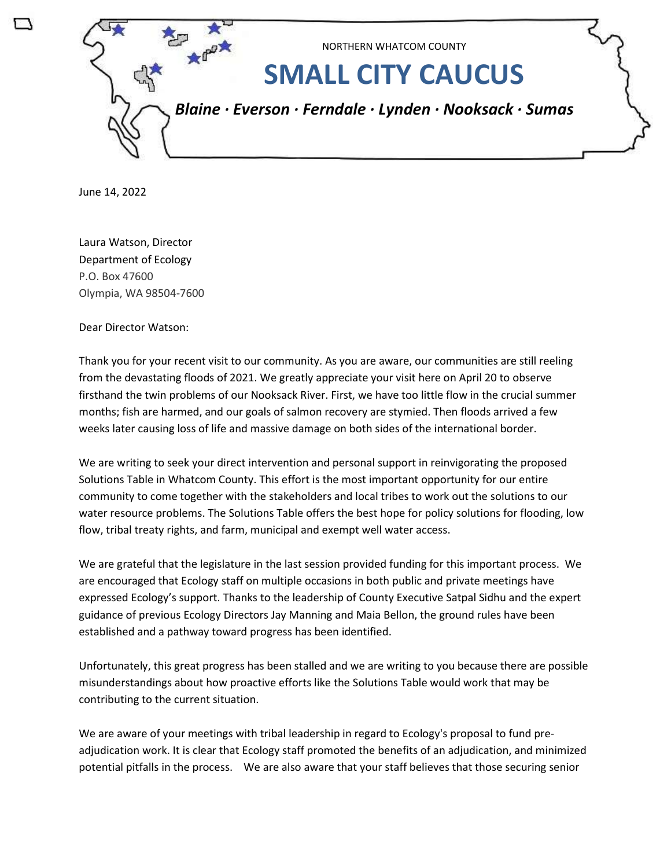

June 14, 2022

Laura Watson, Director Department of Ecology P.O. Box 47600 Olympia, WA 98504-7600

Dear Director Watson:

Thank you for your recent visit to our community. As you are aware, our communities are still reeling from the devastating floods of 2021. We greatly appreciate your visit here on April 20 to observe firsthand the twin problems of our Nooksack River. First, we have too little flow in the crucial summer months; fish are harmed, and our goals of salmon recovery are stymied. Then floods arrived a few weeks later causing loss of life and massive damage on both sides of the international border.

We are writing to seek your direct intervention and personal support in reinvigorating the proposed Solutions Table in Whatcom County. This effort is the most important opportunity for our entire community to come together with the stakeholders and local tribes to work out the solutions to our water resource problems. The Solutions Table offers the best hope for policy solutions for flooding, low flow, tribal treaty rights, and farm, municipal and exempt well water access.

We are grateful that the legislature in the last session provided funding for this important process. We are encouraged that Ecology staff on multiple occasions in both public and private meetings have expressed Ecology's support. Thanks to the leadership of County Executive Satpal Sidhu and the expert guidance of previous Ecology Directors Jay Manning and Maia Bellon, the ground rules have been established and a pathway toward progress has been identified.

Unfortunately, this great progress has been stalled and we are writing to you because there are possible misunderstandings about how proactive efforts like the Solutions Table would work that may be contributing to the current situation.

We are aware of your meetings with tribal leadership in regard to Ecology's proposal to fund preadjudication work. It is clear that Ecology staff promoted the benefits of an adjudication, and minimized potential pitfalls in the process. We are also aware that your staff believes that those securing senior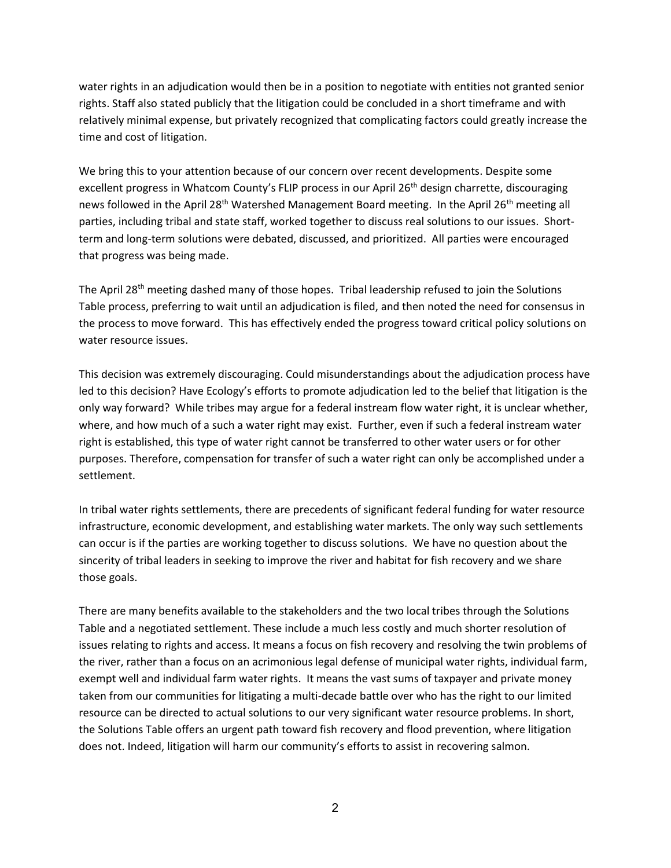water rights in an adjudication would then be in a position to negotiate with entities not granted senior rights. Staff also stated publicly that the litigation could be concluded in a short timeframe and with relatively minimal expense, but privately recognized that complicating factors could greatly increase the time and cost of litigation.

We bring this to your attention because of our concern over recent developments. Despite some excellent progress in Whatcom County's FLIP process in our April 26<sup>th</sup> design charrette, discouraging news followed in the April 28<sup>th</sup> Watershed Management Board meeting. In the April 26<sup>th</sup> meeting all parties, including tribal and state staff, worked together to discuss real solutions to our issues. Shortterm and long-term solutions were debated, discussed, and prioritized. All parties were encouraged that progress was being made.

The April 28<sup>th</sup> meeting dashed many of those hopes. Tribal leadership refused to join the Solutions Table process, preferring to wait until an adjudication is filed, and then noted the need for consensus in the process to move forward. This has effectively ended the progress toward critical policy solutions on water resource issues.

This decision was extremely discouraging. Could misunderstandings about the adjudication process have led to this decision? Have Ecology's efforts to promote adjudication led to the belief that litigation is the only way forward? While tribes may argue for a federal instream flow water right, it is unclear whether, where, and how much of a such a water right may exist. Further, even if such a federal instream water right is established, this type of water right cannot be transferred to other water users or for other purposes. Therefore, compensation for transfer of such a water right can only be accomplished under a settlement.

In tribal water rights settlements, there are precedents of significant federal funding for water resource infrastructure, economic development, and establishing water markets. The only way such settlements can occur is if the parties are working together to discuss solutions. We have no question about the sincerity of tribal leaders in seeking to improve the river and habitat for fish recovery and we share those goals.

There are many benefits available to the stakeholders and the two local tribes through the Solutions Table and a negotiated settlement. These include a much less costly and much shorter resolution of issues relating to rights and access. It means a focus on fish recovery and resolving the twin problems of the river, rather than a focus on an acrimonious legal defense of municipal water rights, individual farm, exempt well and individual farm water rights. It means the vast sums of taxpayer and private money taken from our communities for litigating a multi-decade battle over who has the right to our limited resource can be directed to actual solutions to our very significant water resource problems. In short, the Solutions Table offers an urgent path toward fish recovery and flood prevention, where litigation does not. Indeed, litigation will harm our community's efforts to assist in recovering salmon.